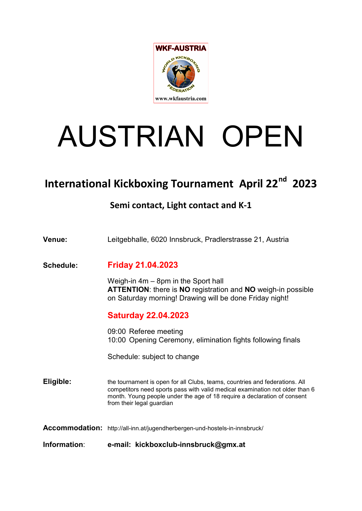

# AUSTRIAN OPEN

# International Kickboxing Tournament April 22<sup>nd</sup> 2023

## Semi contact, Light contact and K-1

| Information:     | e-mail: kickboxclub-innsbruck@gmx.at                                                                                                                                                                                                                                 |
|------------------|----------------------------------------------------------------------------------------------------------------------------------------------------------------------------------------------------------------------------------------------------------------------|
|                  | Accommodation: http://all-inn.at/jugendherbergen-und-hostels-in-innsbruck/                                                                                                                                                                                           |
| Eligible:        | the tournament is open for all Clubs, teams, countries and federations. All<br>competitors need sports pass with valid medical examination not older than 6<br>month. Young people under the age of 18 require a declaration of consent<br>from their legal guardian |
|                  | Schedule: subject to change                                                                                                                                                                                                                                          |
|                  | 09:00 Referee meeting<br>10:00 Opening Ceremony, elimination fights following finals                                                                                                                                                                                 |
|                  | <b>Saturday 22.04.2023</b>                                                                                                                                                                                                                                           |
|                  | Weigh-in $4m - 8pm$ in the Sport hall<br><b>ATTENTION:</b> there is <b>NO</b> registration and <b>NO</b> weigh-in possible<br>on Saturday morning! Drawing will be done Friday night!                                                                                |
| <b>Schedule:</b> | <b>Friday 21.04.2023</b>                                                                                                                                                                                                                                             |
| Venue:           | Leitgebhalle, 6020 Innsbruck, Pradlerstrasse 21, Austria                                                                                                                                                                                                             |